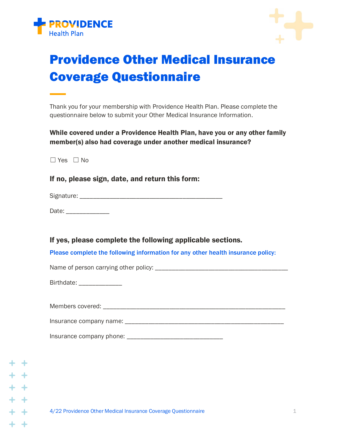



## Providence Other Medical Insurance Coverage Questionnaire

Thank you for your membership with Providence Health Plan. Please complete the questionnaire below to submit your Other Medical Insurance Information.

While covered under a Providence Health Plan, have you or any other family member(s) also had coverage under another medical insurance?

☐ Yes ☐ No

If no, please sign, date, and return this form:

Signature: \_\_\_\_\_\_\_\_\_\_\_\_\_\_\_\_\_\_\_\_\_\_\_\_\_\_\_\_\_\_\_\_\_\_\_\_\_\_\_\_\_\_\_

Date: \_\_\_\_\_\_\_\_\_\_\_\_\_\_\_\_\_

If yes, please complete the following applicable sections.

Please complete the following information for any other health insurance policy:

Name of person carrying other policy: \_\_\_\_\_\_\_\_\_\_\_\_\_\_\_\_\_\_\_\_\_\_\_\_\_\_\_\_\_\_\_\_\_\_\_\_\_\_\_\_

Birthdate: **Example 2014** 

| Members covered: |  |
|------------------|--|
|                  |  |

Insurance company name: \_\_\_\_\_\_\_\_\_\_\_\_\_\_\_\_\_\_\_\_\_\_\_\_\_\_\_\_\_\_\_\_\_\_\_\_\_\_\_\_\_\_\_\_\_\_\_\_

Insurance company phone: \_\_\_\_\_\_\_\_\_\_\_\_\_\_\_\_\_\_\_\_\_\_\_\_\_\_\_\_\_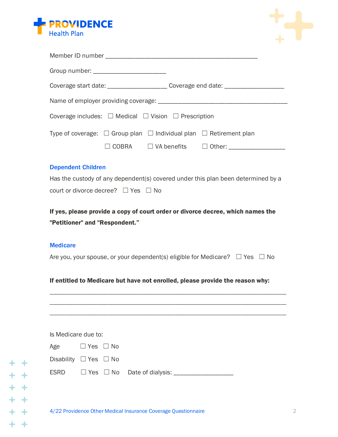



| Group number: _________________________                                                                           |                                                                   |  |  |  |
|-------------------------------------------------------------------------------------------------------------------|-------------------------------------------------------------------|--|--|--|
| Coverage start date: _______________________ Coverage end date: ________________                                  |                                                                   |  |  |  |
|                                                                                                                   |                                                                   |  |  |  |
| Coverage includes: $\Box$ Medical $\Box$ Vision $\Box$ Prescription                                               |                                                                   |  |  |  |
| Type of coverage: $\Box$ Group plan $\Box$ Individual plan $\Box$ Retirement plan                                 | $\Box$ COBRA $\Box$ VA benefits $\Box$ Other: ___________________ |  |  |  |
| <b>Dependent Children</b>                                                                                         |                                                                   |  |  |  |
| Has the custody of any dependent(s) covered under this plan been determined by a                                  |                                                                   |  |  |  |
| court or divorce decree? $\Box$ Yes $\Box$ No                                                                     |                                                                   |  |  |  |
| If yes, please provide a copy of court order or divorce decree, which names the<br>"Petitioner" and "Respondent." |                                                                   |  |  |  |
| <b>Medicare</b>                                                                                                   |                                                                   |  |  |  |
| Are you, your spouse, or your dependent(s) eligible for Medicare? $\square$ Yes $\square$ No                      |                                                                   |  |  |  |
| If entitled to Medicare but have not enrolled please provide the reason why                                       |                                                                   |  |  |  |

If entitled to Medicare but have not enrolled, please provide the reason why:

\_\_\_\_\_\_\_\_\_\_\_\_\_\_\_\_\_\_\_\_\_\_\_\_\_\_\_\_\_\_\_\_\_\_\_\_\_\_\_\_\_\_\_\_\_\_\_\_\_\_\_\_\_\_\_\_\_\_\_\_\_\_\_\_\_\_\_\_\_\_\_\_\_\_\_\_\_\_ \_\_\_\_\_\_\_\_\_\_\_\_\_\_\_\_\_\_\_\_\_\_\_\_\_\_\_\_\_\_\_\_\_\_\_\_\_\_\_\_\_\_\_\_\_\_\_\_\_\_\_\_\_\_\_\_\_\_\_\_\_\_\_\_\_\_\_\_\_\_\_\_\_\_\_\_\_\_ \_\_\_\_\_\_\_\_\_\_\_\_\_\_\_\_\_\_\_\_\_\_\_\_\_\_\_\_\_\_\_\_\_\_\_\_\_\_\_\_\_\_\_\_\_\_\_\_\_\_\_\_\_\_\_\_\_\_\_\_\_\_\_\_\_\_\_\_\_\_\_\_\_\_\_\_\_\_

| Is Medicare due to: |
|---------------------|
|---------------------|

| Age                             | $\Box$ Yes $\Box$ No                |                   |
|---------------------------------|-------------------------------------|-------------------|
| Disability $\Box$ Yes $\Box$ No |                                     |                   |
| <b>FODD</b>                     | $\Box$ $V_{\tau}$ $\Box$ $N_{\tau}$ | Data af dialogies |

 $ESRD$   $\Box$  Yes  $\Box$  No Date of dialysis:  $\_\_\_\_\_\_\_\_\_\_\_\_\_\_\_\_\_\_\_\_$ 

 $\rightarrow$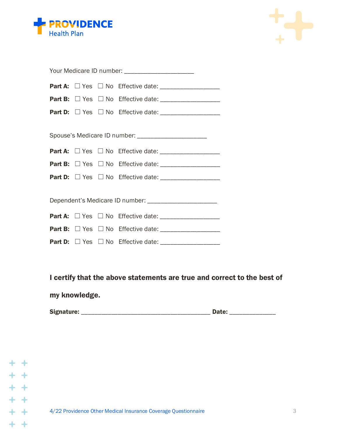



| Your Medicare ID number: ______________________          |  |  |  |  |  |
|----------------------------------------------------------|--|--|--|--|--|
|                                                          |  |  |  |  |  |
|                                                          |  |  |  |  |  |
|                                                          |  |  |  |  |  |
|                                                          |  |  |  |  |  |
| Spouse's Medicare ID number: _______________________     |  |  |  |  |  |
|                                                          |  |  |  |  |  |
|                                                          |  |  |  |  |  |
|                                                          |  |  |  |  |  |
|                                                          |  |  |  |  |  |
| Dependent's Medicare ID number: ________________________ |  |  |  |  |  |
|                                                          |  |  |  |  |  |
|                                                          |  |  |  |  |  |
|                                                          |  |  |  |  |  |

I certify that the above statements are true and correct to the best of

my knowledge.

Signature: \_\_\_\_\_\_\_\_\_\_\_\_\_\_\_\_\_\_\_\_\_\_\_\_\_\_\_\_\_\_\_\_\_\_\_\_\_\_\_ Date: \_\_\_\_\_\_\_\_\_\_\_\_\_\_